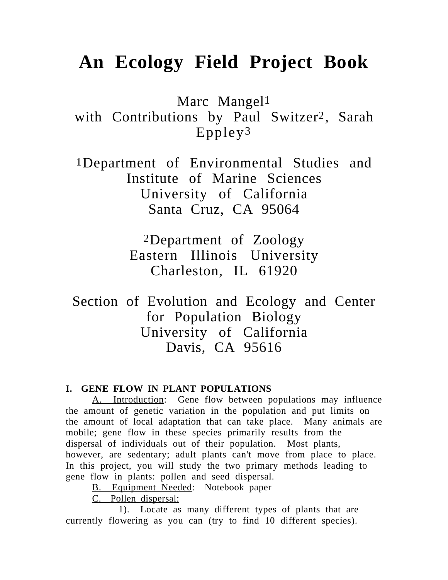# **An Ecology Field Project Book**

Marc Mangel1

with Contributions by Paul Switzer2, Sarah Eppley3

1Department of Environmental Studies and Institute of Marine Sciences University of California Santa Cruz, CA 95064

> 2Department of Zoology Eastern Illinois University Charleston, IL 61920

Section of Evolution and Ecology and Center for Population Biology University of California Davis, CA 95616

#### **I. GENE FLOW IN PLANT POPULATIONS**

A. Introduction: Gene flow between populations may influence the amount of genetic variation in the population and put limits on the amount of local adaptation that can take place. Many animals are mobile; gene flow in these species primarily results from the dispersal of individuals out of their population. Most plants, however, are sedentary; adult plants can't move from place to place. In this project, you will study the two primary methods leading to gene flow in plants: pollen and seed dispersal.

B. Equipment Needed: Notebook paper

C. Pollen dispersal:

1). Locate as many different types of plants that are currently flowering as you can (try to find 10 different species).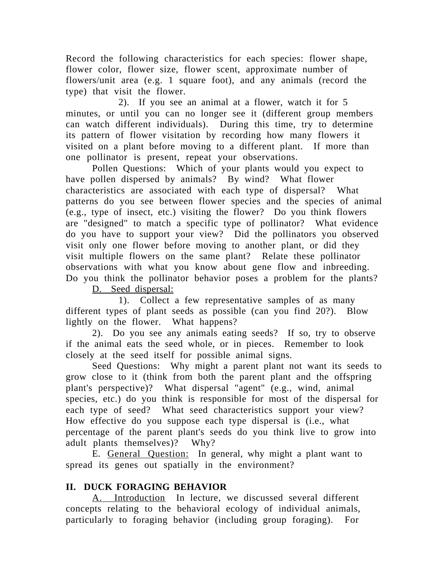Record the following characteristics for each species: flower shape, flower color, flower size, flower scent, approximate number of flowers/unit area (e.g. 1 square foot), and any animals (record the type) that visit the flower.

2). If you see an animal at a flower, watch it for 5 minutes, or until you can no longer see it (different group members can watch different individuals). During this time, try to determine its pattern of flower visitation by recording how many flowers it visited on a plant before moving to a different plant. If more than one pollinator is present, repeat your observations.

Pollen Questions: Which of your plants would you expect to have pollen dispersed by animals? By wind? What flower characteristics are associated with each type of dispersal? What patterns do you see between flower species and the species of animal (e.g., type of insect, etc.) visiting the flower? Do you think flowers are "designed" to match a specific type of pollinator? What evidence do you have to support your view? Did the pollinators you observed visit only one flower before moving to another plant, or did they visit multiple flowers on the same plant? Relate these pollinator observations with what you know about gene flow and inbreeding. Do you think the pollinator behavior poses a problem for the plants?

D. Seed dispersal:

1). Collect a few representative samples of as many different types of plant seeds as possible (can you find 20?). Blow lightly on the flower. What happens?

2). Do you see any animals eating seeds? If so, try to observe if the animal eats the seed whole, or in pieces. Remember to look closely at the seed itself for possible animal signs.

Seed Questions: Why might a parent plant not want its seeds to grow close to it (think from both the parent plant and the offspring plant's perspective)? What dispersal "agent" (e.g., wind, animal species, etc.) do you think is responsible for most of the dispersal for each type of seed? What seed characteristics support your view? How effective do you suppose each type dispersal is (i.e., what percentage of the parent plant's seeds do you think live to grow into adult plants themselves)? Why?

E. General Question: In general, why might a plant want to spread its genes out spatially in the environment?

## **II. DUCK FORAGING BEHAVIOR**

A. Introduction In lecture, we discussed several different concepts relating to the behavioral ecology of individual animals, particularly to foraging behavior (including group foraging). For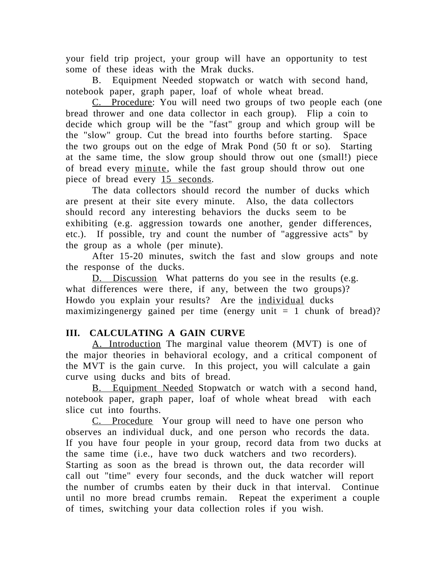your field trip project, your group will have an opportunity to test some of these ideas with the Mrak ducks.

B. Equipment Needed stopwatch or watch with second hand, notebook paper, graph paper, loaf of whole wheat bread.

C. Procedure: You will need two groups of two people each (one bread thrower and one data collector in each group). Flip a coin to decide which group will be the "fast" group and which group will be the "slow" group. Cut the bread into fourths before starting. Space the two groups out on the edge of Mrak Pond (50 ft or so). Starting at the same time, the slow group should throw out one (small!) piece of bread every minute, while the fast group should throw out one piece of bread every 15 seconds.

The data collectors should record the number of ducks which are present at their site every minute. Also, the data collectors should record any interesting behaviors the ducks seem to be exhibiting (e.g. aggression towards one another, gender differences, etc.). If possible, try and count the number of "aggressive acts" by the group as a whole (per minute).

After 15-20 minutes, switch the fast and slow groups and note the response of the ducks.

D. Discussion What patterns do you see in the results (e.g. what differences were there, if any, between the two groups)? Howdo you explain your results? Are the individual ducks maximizingenergy gained per time (energy unit  $= 1$  chunk of bread)?

## **III. CALCULATING A GAIN CURVE**

A. Introduction The marginal value theorem (MVT) is one of the major theories in behavioral ecology, and a critical component of the MVT is the gain curve. In this project, you will calculate a gain curve using ducks and bits of bread.

B. Equipment Needed Stopwatch or watch with a second hand, notebook paper, graph paper, loaf of whole wheat bread with each slice cut into fourths.

C. Procedure Your group will need to have one person who observes an individual duck, and one person who records the data. If you have four people in your group, record data from two ducks at the same time (i.e., have two duck watchers and two recorders). Starting as soon as the bread is thrown out, the data recorder will call out "time" every four seconds, and the duck watcher will report the number of crumbs eaten by their duck in that interval. Continue until no more bread crumbs remain. Repeat the experiment a couple of times, switching your data collection roles if you wish.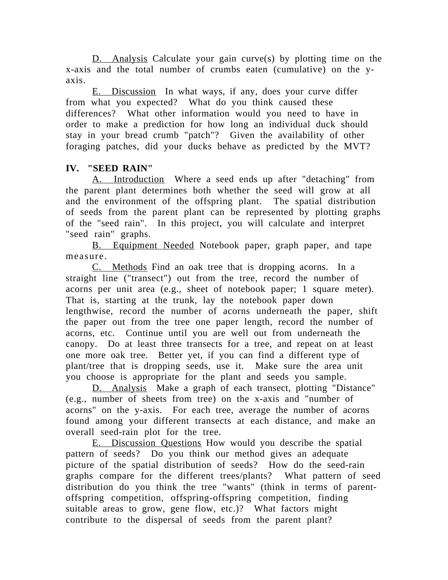D. Analysis Calculate your gain curve(s) by plotting time on the x-axis and the total number of crumbs eaten (cumulative) on the yaxis.

E. Discussion In what ways, if any, does your curve differ from what you expected? What do you think caused these differences? What other information would you need to have in order to make a prediction for how long an individual duck should stay in your bread crumb "patch"? Given the availability of other foraging patches, did your ducks behave as predicted by the MVT?

## **IV. "SEED RAIN"**

A. Introduction Where a seed ends up after "detaching" from the parent plant determines both whether the seed will grow at all and the environment of the offspring plant. The spatial distribution of seeds from the parent plant can be represented by plotting graphs of the "seed rain". In this project, you will calculate and interpret "seed rain" graphs.

B. Equipment Needed Notebook paper, graph paper, and tape measure.

C. Methods Find an oak tree that is dropping acorns. In a straight line ("transect") out from the tree, record the number of acorns per unit area (e.g., sheet of notebook paper; 1 square meter). That is, starting at the trunk, lay the notebook paper down lengthwise, record the number of acorns underneath the paper, shift the paper out from the tree one paper length, record the number of acorns, etc. Continue until you are well out from underneath the canopy. Do at least three transects for a tree, and repeat on at least one more oak tree. Better yet, if you can find a different type of plant/tree that is dropping seeds, use it. Make sure the area unit you choose is appropriate for the plant and seeds you sample.

D. Analysis Make a graph of each transect, plotting "Distance" (e.g., number of sheets from tree) on the x-axis and "number of acorns" on the y-axis. For each tree, average the number of acorns found among your different transects at each distance, and make an overall seed-rain plot for the tree.

E. Discussion Questions How would you describe the spatial pattern of seeds? Do you think our method gives an adequate picture of the spatial distribution of seeds? How do the seed-rain graphs compare for the different trees/plants? What pattern of seed distribution do you think the tree "wants" (think in terms of parentoffspring competition, offspring-offspring competition, finding suitable areas to grow, gene flow, etc.)? What factors might contribute to the dispersal of seeds from the parent plant?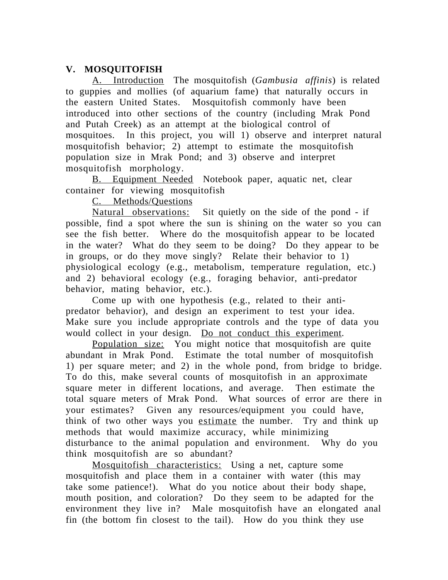## **V. MOSQUITOFISH**

A. Introduction The mosquitofish (*Gambusia affinis*) is related to guppies and mollies (of aquarium fame) that naturally occurs in the eastern United States. Mosquitofish commonly have been introduced into other sections of the country (including Mrak Pond and Putah Creek) as an attempt at the biological control of mosquitoes. In this project, you will 1) observe and interpret natural mosquitofish behavior; 2) attempt to estimate the mosquitofish population size in Mrak Pond; and 3) observe and interpret mosquitofish morphology.

B. Equipment Needed Notebook paper, aquatic net, clear container for viewing mosquitofish

C. Methods/Questions

Natural observations: Sit quietly on the side of the pond - if possible, find a spot where the sun is shining on the water so you can see the fish better. Where do the mosquitofish appear to be located in the water? What do they seem to be doing? Do they appear to be in groups, or do they move singly? Relate their behavior to 1) physiological ecology (e.g., metabolism, temperature regulation, etc.) and 2) behavioral ecology (e.g., foraging behavior, anti-predator behavior, mating behavior, etc.).

Come up with one hypothesis (e.g., related to their antipredator behavior), and design an experiment to test your idea. Make sure you include appropriate controls and the type of data you would collect in your design. Do not conduct this experiment.

Population size: You might notice that mosquitofish are quite abundant in Mrak Pond. Estimate the total number of mosquitofish 1) per square meter; and 2) in the whole pond, from bridge to bridge. To do this, make several counts of mosquitofish in an approximate square meter in different locations, and average. Then estimate the total square meters of Mrak Pond. What sources of error are there in your estimates? Given any resources/equipment you could have, think of two other ways you estimate the number. Try and think up methods that would maximize accuracy, while minimizing disturbance to the animal population and environment. Why do you think mosquitofish are so abundant?

Mosquitofish characteristics: Using a net, capture some mosquitofish and place them in a container with water (this may take some patience!). What do you notice about their body shape, mouth position, and coloration? Do they seem to be adapted for the environment they live in? Male mosquitofish have an elongated anal fin (the bottom fin closest to the tail). How do you think they use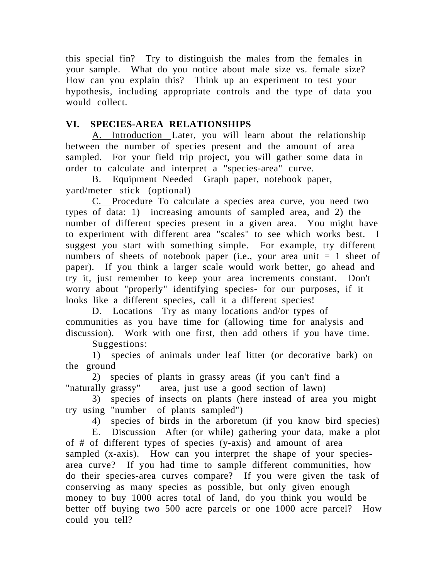this special fin? Try to distinguish the males from the females in your sample. What do you notice about male size vs. female size? How can you explain this? Think up an experiment to test your hypothesis, including appropriate controls and the type of data you would collect.

## **VI. SPECIES-AREA RELATIONSHIPS**

A. Introduction Later, you will learn about the relationship between the number of species present and the amount of area sampled. For your field trip project, you will gather some data in order to calculate and interpret a "species-area" curve.

B. Equipment Needed Graph paper, notebook paper, yard/meter stick (optional)

C. Procedure To calculate a species area curve, you need two types of data: 1) increasing amounts of sampled area, and 2) the number of different species present in a given area. You might have to experiment with different area "scales" to see which works best. I suggest you start with something simple. For example, try different numbers of sheets of notebook paper (i.e., your area unit  $= 1$  sheet of paper). If you think a larger scale would work better, go ahead and try it, just remember to keep your area increments constant. Don't worry about "properly" identifying species- for our purposes, if it looks like a different species, call it a different species!

D. Locations Try as many locations and/or types of communities as you have time for (allowing time for analysis and discussion). Work with one first, then add others if you have time.

Suggestions:

1) species of animals under leaf litter (or decorative bark) on the ground

2) species of plants in grassy areas (if you can't find a "naturally grassy" area, just use a good section of lawn)

3) species of insects on plants (here instead of area you might try using "number of plants sampled")

4) species of birds in the arboretum (if you know bird species)

E. Discussion After (or while) gathering your data, make a plot of # of different types of species (y-axis) and amount of area sampled (x-axis). How can you interpret the shape of your speciesarea curve? If you had time to sample different communities, how do their species-area curves compare? If you were given the task of conserving as many species as possible, but only given enough money to buy 1000 acres total of land, do you think you would be better off buying two 500 acre parcels or one 1000 acre parcel? How could you tell?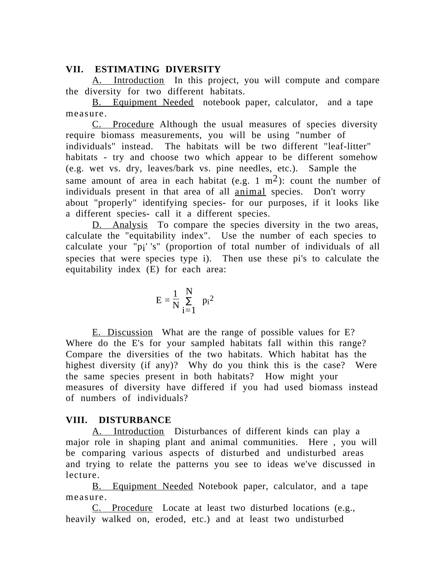#### **VII. ESTIMATING DIVERSITY**

A. Introduction In this project, you will compute and compare the diversity for two different habitats.

B. Equipment Needed notebook paper, calculator, and a tape measure.

C. Procedure Although the usual measures of species diversity require biomass measurements, you will be using "number of individuals" instead. The habitats will be two different "leaf-litter" habitats - try and choose two which appear to be different somehow (e.g. wet vs. dry, leaves/bark vs. pine needles, etc.). Sample the same amount of area in each habitat (e.g. 1  $m<sup>2</sup>$ ): count the number of individuals present in that area of all animal species. Don't worry about "properly" identifying species- for our purposes, if it looks like a different species- call it a different species.

D. Analysis To compare the species diversity in the two areas, calculate the "equitability index". Use the number of each species to calculate your "pi' 's" (proportion of total number of individuals of all species that were species type i). Then use these pi's to calculate the equitability index (E) for each area:

$$
E = \frac{1}{N} \sum_{i=1}^{N} p_i^2
$$

E. Discussion What are the range of possible values for E? Where do the E's for your sampled habitats fall within this range? Compare the diversities of the two habitats. Which habitat has the highest diversity (if any)? Why do you think this is the case? Were the same species present in both habitats? How might your measures of diversity have differed if you had used biomass instead of numbers of individuals?

## **VIII. DISTURBANCE**

A. Introduction Disturbances of different kinds can play a major role in shaping plant and animal communities. Here , you will be comparing various aspects of disturbed and undisturbed areas and trying to relate the patterns you see to ideas we've discussed in lecture.

B. Equipment Needed Notebook paper, calculator, and a tape measure.

C. Procedure Locate at least two disturbed locations (e.g., heavily walked on, eroded, etc.) and at least two undisturbed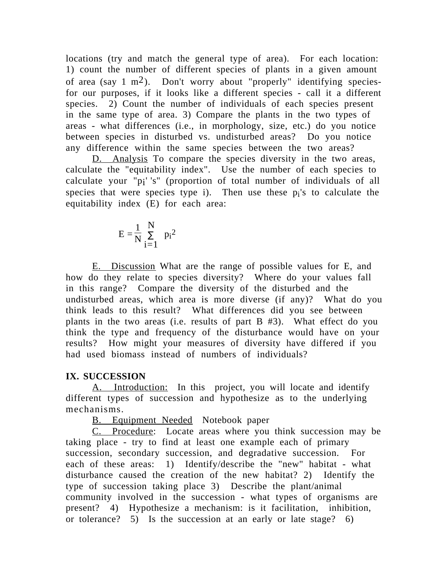locations (try and match the general type of area). For each location: 1) count the number of different species of plants in a given amount of area (say  $1 \text{ m}^2$ ). Don't worry about "properly" identifying speciesfor our purposes, if it looks like a different species - call it a different species. 2) Count the number of individuals of each species present in the same type of area. 3) Compare the plants in the two types of areas - what differences (i.e., in morphology, size, etc.) do you notice between species in disturbed vs. undisturbed areas? Do you notice any difference within the same species between the two areas?

D. Analysis To compare the species diversity in the two areas, calculate the "equitability index". Use the number of each species to calculate your "pi' 's" (proportion of total number of individuals of all species that were species type i). Then use these  $p_i$ 's to calculate the equitability index (E) for each area:

$$
E = \frac{1}{N} \sum_{i=1}^{N} p_i^2
$$

E. Discussion What are the range of possible values for E, and how do they relate to species diversity? Where do your values fall in this range? Compare the diversity of the disturbed and the undisturbed areas, which area is more diverse (if any)? What do you think leads to this result? What differences did you see between plants in the two areas (i.e. results of part B #3). What effect do you think the type and frequency of the disturbance would have on your results? How might your measures of diversity have differed if you had used biomass instead of numbers of individuals?

## **IX. SUCCESSION**

A. Introduction: In this project, you will locate and identify different types of succession and hypothesize as to the underlying mechanisms.

B. Equipment Needed Notebook paper

C. Procedure: Locate areas where you think succession may be taking place - try to find at least one example each of primary succession, secondary succession, and degradative succession. For each of these areas: 1) Identify/describe the "new" habitat - what disturbance caused the creation of the new habitat? 2) Identify the type of succession taking place 3) Describe the plant/animal community involved in the succession - what types of organisms are present? 4) Hypothesize a mechanism: is it facilitation, inhibition, or tolerance? 5) Is the succession at an early or late stage? 6)